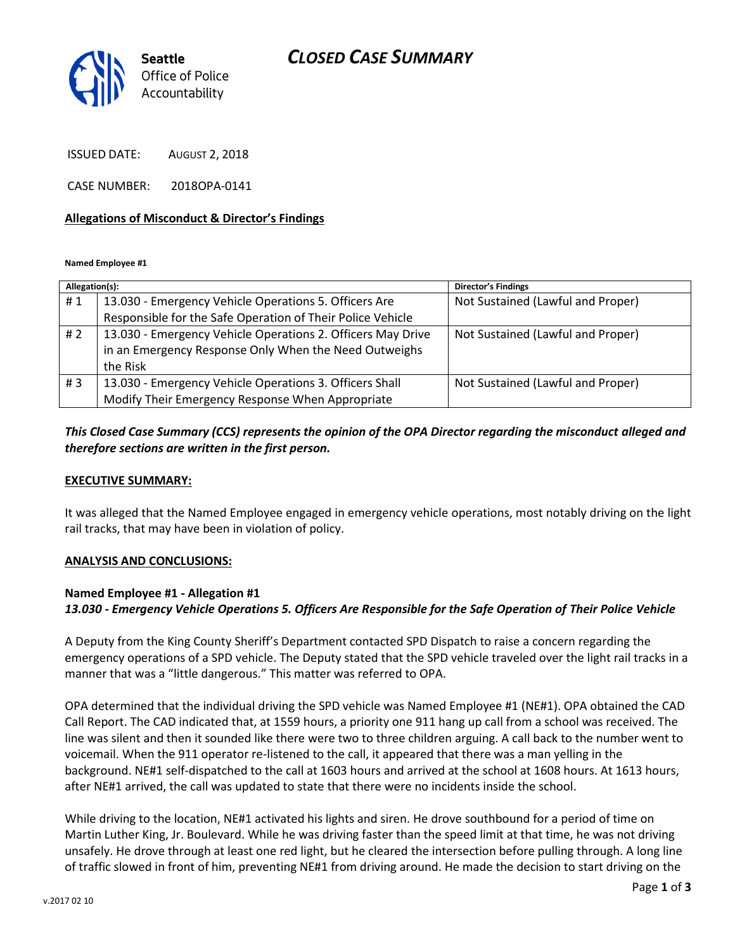## *CLOSED CASE SUMMARY*



ISSUED DATE: AUGUST 2, 2018

CASE NUMBER: 2018OPA-0141

### **Allegations of Misconduct & Director's Findings**

**Named Employee #1**

| Allegation(s): |                                                             | <b>Director's Findings</b>        |
|----------------|-------------------------------------------------------------|-----------------------------------|
| #1             | 13.030 - Emergency Vehicle Operations 5. Officers Are       | Not Sustained (Lawful and Proper) |
|                | Responsible for the Safe Operation of Their Police Vehicle  |                                   |
| # 2            | 13.030 - Emergency Vehicle Operations 2. Officers May Drive | Not Sustained (Lawful and Proper) |
|                | in an Emergency Response Only When the Need Outweighs       |                                   |
|                | the Risk                                                    |                                   |
| #3             | 13.030 - Emergency Vehicle Operations 3. Officers Shall     | Not Sustained (Lawful and Proper) |
|                | Modify Their Emergency Response When Appropriate            |                                   |

## *This Closed Case Summary (CCS) represents the opinion of the OPA Director regarding the misconduct alleged and therefore sections are written in the first person.*

### **EXECUTIVE SUMMARY:**

It was alleged that the Named Employee engaged in emergency vehicle operations, most notably driving on the light rail tracks, that may have been in violation of policy.

## **ANALYSIS AND CONCLUSIONS:**

## **Named Employee #1 - Allegation #1** *13.030 - Emergency Vehicle Operations 5. Officers Are Responsible for the Safe Operation of Their Police Vehicle*

A Deputy from the King County Sheriff's Department contacted SPD Dispatch to raise a concern regarding the emergency operations of a SPD vehicle. The Deputy stated that the SPD vehicle traveled over the light rail tracks in a manner that was a "little dangerous." This matter was referred to OPA.

OPA determined that the individual driving the SPD vehicle was Named Employee #1 (NE#1). OPA obtained the CAD Call Report. The CAD indicated that, at 1559 hours, a priority one 911 hang up call from a school was received. The line was silent and then it sounded like there were two to three children arguing. A call back to the number went to voicemail. When the 911 operator re-listened to the call, it appeared that there was a man yelling in the background. NE#1 self-dispatched to the call at 1603 hours and arrived at the school at 1608 hours. At 1613 hours, after NE#1 arrived, the call was updated to state that there were no incidents inside the school.

While driving to the location, NE#1 activated his lights and siren. He drove southbound for a period of time on Martin Luther King, Jr. Boulevard. While he was driving faster than the speed limit at that time, he was not driving unsafely. He drove through at least one red light, but he cleared the intersection before pulling through. A long line of traffic slowed in front of him, preventing NE#1 from driving around. He made the decision to start driving on the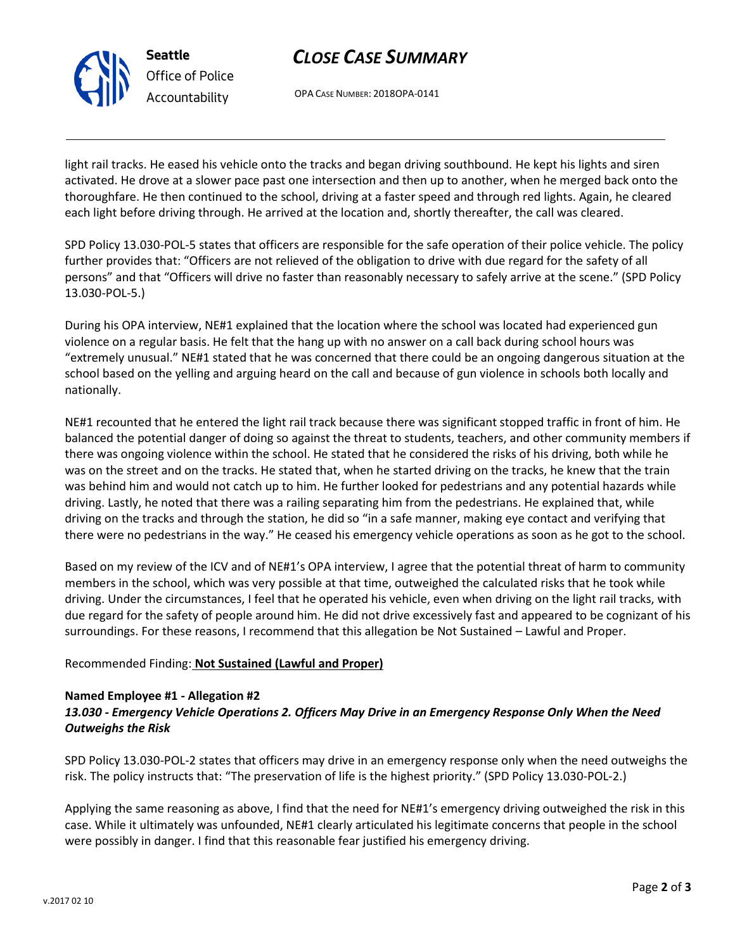

# *CLOSE CASE SUMMARY*

OPA CASE NUMBER: 2018OPA-0141

light rail tracks. He eased his vehicle onto the tracks and began driving southbound. He kept his lights and siren activated. He drove at a slower pace past one intersection and then up to another, when he merged back onto the thoroughfare. He then continued to the school, driving at a faster speed and through red lights. Again, he cleared each light before driving through. He arrived at the location and, shortly thereafter, the call was cleared.

SPD Policy 13.030-POL-5 states that officers are responsible for the safe operation of their police vehicle. The policy further provides that: "Officers are not relieved of the obligation to drive with due regard for the safety of all persons" and that "Officers will drive no faster than reasonably necessary to safely arrive at the scene." (SPD Policy 13.030-POL-5.)

During his OPA interview, NE#1 explained that the location where the school was located had experienced gun violence on a regular basis. He felt that the hang up with no answer on a call back during school hours was "extremely unusual." NE#1 stated that he was concerned that there could be an ongoing dangerous situation at the school based on the yelling and arguing heard on the call and because of gun violence in schools both locally and nationally.

NE#1 recounted that he entered the light rail track because there was significant stopped traffic in front of him. He balanced the potential danger of doing so against the threat to students, teachers, and other community members if there was ongoing violence within the school. He stated that he considered the risks of his driving, both while he was on the street and on the tracks. He stated that, when he started driving on the tracks, he knew that the train was behind him and would not catch up to him. He further looked for pedestrians and any potential hazards while driving. Lastly, he noted that there was a railing separating him from the pedestrians. He explained that, while driving on the tracks and through the station, he did so "in a safe manner, making eye contact and verifying that there were no pedestrians in the way." He ceased his emergency vehicle operations as soon as he got to the school.

Based on my review of the ICV and of NE#1's OPA interview, I agree that the potential threat of harm to community members in the school, which was very possible at that time, outweighed the calculated risks that he took while driving. Under the circumstances, I feel that he operated his vehicle, even when driving on the light rail tracks, with due regard for the safety of people around him. He did not drive excessively fast and appeared to be cognizant of his surroundings. For these reasons, I recommend that this allegation be Not Sustained – Lawful and Proper.

## Recommended Finding: **Not Sustained (Lawful and Proper)**

## **Named Employee #1 - Allegation #2**

## *13.030 - Emergency Vehicle Operations 2. Officers May Drive in an Emergency Response Only When the Need Outweighs the Risk*

SPD Policy 13.030-POL-2 states that officers may drive in an emergency response only when the need outweighs the risk. The policy instructs that: "The preservation of life is the highest priority." (SPD Policy 13.030-POL-2.)

Applying the same reasoning as above, I find that the need for NE#1's emergency driving outweighed the risk in this case. While it ultimately was unfounded, NE#1 clearly articulated his legitimate concerns that people in the school were possibly in danger. I find that this reasonable fear justified his emergency driving.